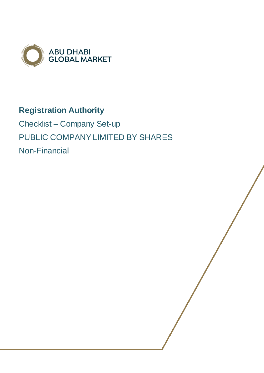

# **Registration Authority**

Checklist – Company Set-up PUBLIC COMPANY LIMITED BY SHARES Non-Financial

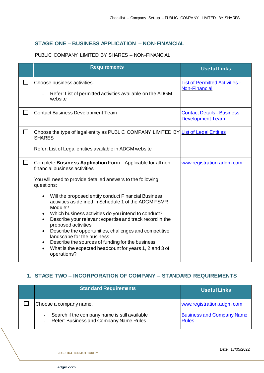## **STAGE ONE – BUSINESS APPLICATION – NON-FINANCIAL**

#### PUBLIC COMPANY LIMITED BY SHARES – NON-FINANCIAL

|        | <b>Requirements</b>                                                                                                                                                                                                                                                                                                                                                                                                                                                                                                                                                                                                                                                                                 | <b>Useful Links</b>                                           |
|--------|-----------------------------------------------------------------------------------------------------------------------------------------------------------------------------------------------------------------------------------------------------------------------------------------------------------------------------------------------------------------------------------------------------------------------------------------------------------------------------------------------------------------------------------------------------------------------------------------------------------------------------------------------------------------------------------------------------|---------------------------------------------------------------|
|        | Choose business activities.<br>Refer: List of permitted activities available on the ADGM<br>website                                                                                                                                                                                                                                                                                                                                                                                                                                                                                                                                                                                                 | <b>List of Permitted Activities -</b><br><b>Non-Financial</b> |
|        | <b>Contact Business Development Team</b>                                                                                                                                                                                                                                                                                                                                                                                                                                                                                                                                                                                                                                                            | <b>Contact Details - Business</b><br><b>Development Team</b>  |
| $\Box$ | Choose the type of legal entity as PUBLIC COMPANY LIMITED BY List of Legal Entities<br><b>SHARES</b><br>Refer: List of Legal entities available in ADGM website                                                                                                                                                                                                                                                                                                                                                                                                                                                                                                                                     |                                                               |
| ┓      | Complete <b>Business Application</b> Form - Applicable for all non-<br>financial business activities<br>You will need to provide detailed answers to the following<br>questions:<br>Will the proposed entity conduct Financial Business<br>activities as defined in Schedule 1 of the ADGM FSMR<br>Module?<br>Which business activities do you intend to conduct?<br>Describe your relevant expertise and track record in the<br>proposed activities<br>Describe the opportunities, challenges and competitive<br>$\bullet$<br>landscape for the business<br>Describe the sources of funding for the business<br>What is the expected headcount for years 1, 2 and 3 of<br>$\bullet$<br>operations? | www.registration.adgm.com                                     |

## **1. STAGE TWO – INCORPORATION OF COMPANY – STANDARD REQUIREMENTS**

| <b>Standard Requirements</b>                                                            | <b>Useful Links</b>                              |
|-----------------------------------------------------------------------------------------|--------------------------------------------------|
| Choose a company name.                                                                  | www.registration.adgm.com                        |
| Search if the company name is still available<br>Refer: Business and Company Name Rules | <b>Business and Company Name</b><br><b>Rules</b> |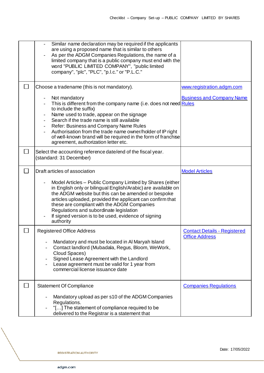|                | Similar name declaration may be required if the applicants<br>are using a proposed name that is similar to others<br>As per the ADGM Companies Regulations, the name of a<br>limited company that is a public company must end with the<br>word "PUBLIC LIMITED COMPANY", "public limited<br>company", "plc", "PLC", "p.l.c." or "P.L.C."                                                                                                                                         |                                     |
|----------------|-----------------------------------------------------------------------------------------------------------------------------------------------------------------------------------------------------------------------------------------------------------------------------------------------------------------------------------------------------------------------------------------------------------------------------------------------------------------------------------|-------------------------------------|
| $\Box$         | Choose a tradename (this is not mandatory).                                                                                                                                                                                                                                                                                                                                                                                                                                       | www.registration.adgm.com           |
|                | Not mandatory<br>$\overline{\phantom{a}}$<br>This is different from the company name (i.e. does not need Rules<br>to include the suffix)<br>Name used to trade, appear on the signage<br>$\overline{\phantom{a}}$<br>Search if the trade name is still available<br>Refer: Business and Company Name Rules<br>Authorisation from the trade name owner/holder of IP right<br>of well-known brand will be required in the form of franchise<br>agreement, authorization letter etc. | <b>Business and Company Name</b>    |
| $\blacksquare$ | Select the accounting reference date/end of the fiscal year.<br>(standard: 31 December)                                                                                                                                                                                                                                                                                                                                                                                           |                                     |
| $\Box$         | Draft articles of association                                                                                                                                                                                                                                                                                                                                                                                                                                                     | <b>Model Articles</b>               |
|                | Model Articles - Public Company Limited by Shares (either<br>in English only or bilingual English/Arabic) are available on<br>the ADGM website but this can be amended or bespoke<br>articles uploaded, provided the applicant can confirm that<br>these are compliant with the ADGM Companies<br>Regulations and subordinate legislation<br>If signed version is to be used, evidence of signing<br>authority                                                                    |                                     |
|                | <b>Registered Office Address</b>                                                                                                                                                                                                                                                                                                                                                                                                                                                  | <b>Contact Details - Registered</b> |
|                | Mandatory and must be located in Al Maryah Island<br>Contact landlord (Mubadala, Regus, Bloom, WeWork,<br>Cloud Spaces)<br>Signed Lease Agreement with the Landlord<br>Lease agreement must be valid for 1 year from<br>commercial license issuance date                                                                                                                                                                                                                          | <b>Office Address</b>               |
|                | <b>Statement Of Compliance</b>                                                                                                                                                                                                                                                                                                                                                                                                                                                    | <b>Companies Regulations</b>        |
|                | Mandatory upload as per s10 of the ADGM Companies<br>Regulations.<br>"[] The statement of compliance required to be<br>delivered to the Registrar is a statement that                                                                                                                                                                                                                                                                                                             |                                     |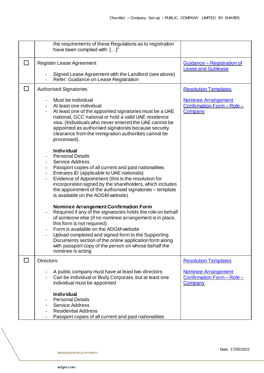|                             | the requirements of these Regulations as to registration<br>have been complied with. []"                                                                                                                                                                                                                                                                                                                                                       |                                                                     |
|-----------------------------|------------------------------------------------------------------------------------------------------------------------------------------------------------------------------------------------------------------------------------------------------------------------------------------------------------------------------------------------------------------------------------------------------------------------------------------------|---------------------------------------------------------------------|
| $\mathsf{L}$                | Register Lease Agreement<br>Signed Lease Agreement with the Landlord (see above)<br>Refer: Guidance on Lease Registration                                                                                                                                                                                                                                                                                                                      | Guidance - Registration of<br><b>Lease and Sublease</b>             |
| $\mathcal{L}_{\mathcal{A}}$ | <b>Authorised Signatories</b>                                                                                                                                                                                                                                                                                                                                                                                                                  | <b>Resolution Templates</b>                                         |
|                             | Must be individual<br>At least one individual<br>At least one of the appointed signatories must be a UAE<br>national, GCC national or hold a valid UAE residence<br>visa. (Individuals who never entered the UAE cannot be<br>appointed as authorised signatories because security<br>clearance from the immigration authorities cannot be<br>processed).                                                                                      | <b>Nominee Arrangement</b><br>Confirmation Form - Role -<br>Company |
|                             | <b>Individual</b><br><b>Personal Details</b><br><b>Service Address</b><br>Passport copies of all current and past nationalities<br>$\overline{\phantom{a}}$<br>Emirates ID (applicable to UAE nationals)<br>$\blacksquare$<br>Evidence of Appointment (this is the resolution for<br>incorporation signed by the shareholders, which includes<br>the appointment of the authorised signatories – template<br>is available on the ADGM website) |                                                                     |
|                             | <b>Nominee Arrangement Confirmation Form</b><br>Required if any of the signatories holds the role on behalf<br>of someone else (if no nominee arrangement is in place,<br>this form is not required)<br>Form is available on the ADGM website<br>Upload completed and signed form to the Supporting<br>Documents section of the online application form along<br>with passport copy of the person on whose behalf the<br>nominee is acting     |                                                                     |
| $\Box$                      | <b>Directors</b>                                                                                                                                                                                                                                                                                                                                                                                                                               | <b>Resolution Templates</b>                                         |
|                             | A public company must have at least two directors<br>Can be individual or Body Corporate, but at least one<br>individual must be appointed                                                                                                                                                                                                                                                                                                     | <b>Nominee Arrangement</b><br>Confirmation Form - Role -<br>Company |
|                             | <b>Individual</b><br><b>Personal Details</b><br><b>Service Address</b><br><b>Residential Address</b><br>Passport copies of all current and past nationalities                                                                                                                                                                                                                                                                                  |                                                                     |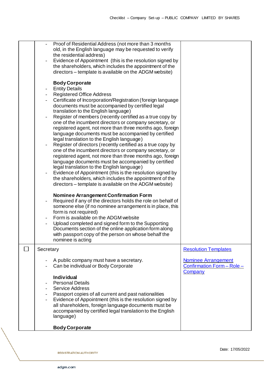| Proof of Residential Address (not more than 3 months<br>old, in the English language may be requested to verify<br>the residential address)<br>Evidence of Appointment (this is the resolution signed by<br>the shareholders, which includes the appointment of the<br>directors – template is available on the ADGM website)                                                                                                                                                                                                                                                                                                                                                                                                                                                                                                                                                                                                                                                                                                                                                                                                                                                                                                                                                                                                                                                                                                                                                                 |  |
|-----------------------------------------------------------------------------------------------------------------------------------------------------------------------------------------------------------------------------------------------------------------------------------------------------------------------------------------------------------------------------------------------------------------------------------------------------------------------------------------------------------------------------------------------------------------------------------------------------------------------------------------------------------------------------------------------------------------------------------------------------------------------------------------------------------------------------------------------------------------------------------------------------------------------------------------------------------------------------------------------------------------------------------------------------------------------------------------------------------------------------------------------------------------------------------------------------------------------------------------------------------------------------------------------------------------------------------------------------------------------------------------------------------------------------------------------------------------------------------------------|--|
| <b>Body Corporate</b><br><b>Entity Details</b><br>$\overline{\phantom{a}}$<br><b>Registered Office Address</b><br>Certificate of Incorporation/Registration (foreign language<br>documents must be accompanied by certified legal<br>translation to the English language)<br>Register of members (recently certified as a true copy by<br>one of the incumbent directors or company secretary, or<br>registered agent, not more than three months ago, foreign<br>language documents must be accompanied by certified<br>legal translation to the English language)<br>Register of directors (recently certified as a true copy by<br>one of the incumbent directors or company secretary, or<br>registered agent, not more than three months ago, foreign<br>language documents must be accompanied by certified<br>legal translation to the English language)<br>Evidence of Appointment (this is the resolution signed by<br>the shareholders, which includes the appointment of the<br>directors – template is available on the ADGM website)<br><b>Nominee Arrangement Confirmation Form</b><br>Required if any of the directors holds the role on behalf of<br>someone else (if no nominee arrangement is in place, this<br>form is not required)<br>Form is available on the ADGM website<br>Upload completed and signed form to the Supporting<br>Documents section of the online application form along<br>with passport copy of the person on whose behalf the<br>nominee is acting |  |
| <b>Resolution Templates</b><br>Secretary                                                                                                                                                                                                                                                                                                                                                                                                                                                                                                                                                                                                                                                                                                                                                                                                                                                                                                                                                                                                                                                                                                                                                                                                                                                                                                                                                                                                                                                      |  |
| A public company must have a secretary.<br><b>Nominee Arrangement</b><br>Can be individual or Body Corporate<br>Confirmation Form - Role -<br>Company<br><b>Individual</b><br><b>Personal Details</b><br><b>Service Address</b><br>Passport copies of all current and past nationalities<br>$\overline{\phantom{0}}$<br>Evidence of Appointment (this is the resolution signed by<br>$\overline{\phantom{a}}$<br>all shareholders, foreign language documents must be<br>accompanied by certified legal translation to the English<br>language)                                                                                                                                                                                                                                                                                                                                                                                                                                                                                                                                                                                                                                                                                                                                                                                                                                                                                                                                               |  |
| <b>Body Corporate</b>                                                                                                                                                                                                                                                                                                                                                                                                                                                                                                                                                                                                                                                                                                                                                                                                                                                                                                                                                                                                                                                                                                                                                                                                                                                                                                                                                                                                                                                                         |  |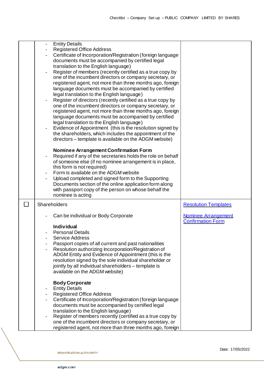|  | <b>Entity Details</b>                                       |                             |
|--|-------------------------------------------------------------|-----------------------------|
|  | <b>Registered Office Address</b>                            |                             |
|  | Certificate of Incorporation/Registration (foreign language |                             |
|  | documents must be accompanied by certified legal            |                             |
|  | translation to the English language)                        |                             |
|  | Register of members (recently certified as a true copy by   |                             |
|  | one of the incumbent directors or company secretary, or     |                             |
|  | registered agent, not more than three months ago, foreign   |                             |
|  | language documents must be accompanied by certified         |                             |
|  | legal translation to the English language)                  |                             |
|  | Register of directors (recently certified as a true copy by |                             |
|  | one of the incumbent directors or company secretary, or     |                             |
|  | registered agent, not more than three months ago, foreign   |                             |
|  | language documents must be accompanied by certified         |                             |
|  | legal translation to the English language)                  |                             |
|  | Evidence of Appointment (this is the resolution signed by   |                             |
|  | the shareholders, which includes the appointment of the     |                             |
|  | directors – template is available on the ADGM website)      |                             |
|  |                                                             |                             |
|  | <b>Nominee Arrangement Confirmation Form</b>                |                             |
|  | Required if any of the secretaries holds the role on behalf |                             |
|  | of someone else (if no nominee arrangement is in place,     |                             |
|  | this form is not required)                                  |                             |
|  | Form is available on the ADGM website                       |                             |
|  | Upload completed and signed form to the Supporting          |                             |
|  | Documents section of the online application form along      |                             |
|  | with passport copy of the person on whose behalf the        |                             |
|  | nominee is acting                                           |                             |
|  | Shareholders                                                | <b>Resolution Templates</b> |
|  |                                                             |                             |
|  | Can be individual or Body Corporate                         | <b>Nominee Arrangement</b>  |
|  |                                                             | <b>Confirmation Form</b>    |
|  | <b>Individual</b>                                           |                             |
|  | <b>Personal Details</b>                                     |                             |
|  | <b>Service Address</b>                                      |                             |
|  | Passport copies of all current and past nationalities       |                             |
|  | Resolution authorizing Incorporation/Registration of        |                             |
|  | ADGM Entity and Evidence of Appointment (this is the        |                             |
|  | resolution signed by the sole individual shareholder or     |                             |
|  | jointly by all individual shareholders - template is        |                             |
|  | available on the ADGM website)                              |                             |
|  | <b>Body Corporate</b>                                       |                             |
|  | <b>Entity Details</b>                                       |                             |
|  | <b>Registered Office Address</b>                            |                             |
|  | Certificate of Incorporation/Registration (foreign language |                             |
|  | documents must be accompanied by certified legal            |                             |
|  | translation to the English language)                        |                             |
|  | Register of members recently (certified as a true copy by   |                             |
|  |                                                             |                             |
|  | one of the incumbent directors or company secretary, or     |                             |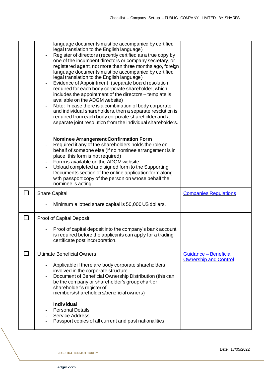|               | language documents must be accompanied by certified<br>legal translation to the English language)<br>Register of directors (recently certified as a true copy by<br>one of the incumbent directors or company secretary, or<br>registered agent, not more than three months ago, foreign<br>language documents must be accompanied by certified<br>legal translation to the English language)<br>Evidence of Appointment (separate board resolution<br>required for each body corporate shareholder, which<br>includes the appointment of the directors - template is<br>available on the ADGM website)<br>Note: In case there is a combination of body corporate<br>and individual shareholders, then a separate resolution is<br>required from each body corporate shareholder and a<br>separate joint resolution from the individual shareholders. |                              |
|---------------|-------------------------------------------------------------------------------------------------------------------------------------------------------------------------------------------------------------------------------------------------------------------------------------------------------------------------------------------------------------------------------------------------------------------------------------------------------------------------------------------------------------------------------------------------------------------------------------------------------------------------------------------------------------------------------------------------------------------------------------------------------------------------------------------------------------------------------------------------------|------------------------------|
|               | Nominee Arrangement Confirmation Form<br>Required if any of the shareholders holds the role on<br>behalf of someone else (if no nominee arrangement is in<br>place, this form is not required)<br>Form is available on the ADGM website<br>Upload completed and signed form to the Supporting<br>Documents section of the online application form along<br>with passport copy of the person on whose behalf the<br>nominee is acting                                                                                                                                                                                                                                                                                                                                                                                                                  |                              |
| $\mathcal{L}$ | <b>Share Capital</b>                                                                                                                                                                                                                                                                                                                                                                                                                                                                                                                                                                                                                                                                                                                                                                                                                                  | <b>Companies Regulations</b> |
|               | Minimum allotted share capital is 50,000 US dollars.                                                                                                                                                                                                                                                                                                                                                                                                                                                                                                                                                                                                                                                                                                                                                                                                  |                              |
|               |                                                                                                                                                                                                                                                                                                                                                                                                                                                                                                                                                                                                                                                                                                                                                                                                                                                       |                              |
| $\Box$        | <b>Proof of Capital Deposit</b>                                                                                                                                                                                                                                                                                                                                                                                                                                                                                                                                                                                                                                                                                                                                                                                                                       |                              |
|               | Proof of capital deposit into the company's bank account<br>is required before the applicants can apply for a trading<br>certificate post incorporation.                                                                                                                                                                                                                                                                                                                                                                                                                                                                                                                                                                                                                                                                                              |                              |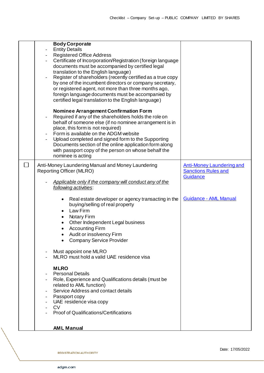|        | <b>Body Corporate</b><br><b>Entity Details</b><br><b>Registered Office Address</b><br>Certificate of Incorporation/Registration (foreign language<br>documents must be accompanied by certified legal<br>translation to the English language)<br>Register of shareholders (recently certified as a true copy<br>by one of the incumbent directors or company secretary,<br>or registered agent, not more than three months ago,<br>foreign language documents must be accompanied by<br>certified legal translation to the English language)<br><b>Nominee Arrangement Confirmation Form</b> |                                                                |
|--------|----------------------------------------------------------------------------------------------------------------------------------------------------------------------------------------------------------------------------------------------------------------------------------------------------------------------------------------------------------------------------------------------------------------------------------------------------------------------------------------------------------------------------------------------------------------------------------------------|----------------------------------------------------------------|
|        | Required if any of the shareholders holds the role on<br>behalf of someone else (if no nominee arrangement is in<br>place, this form is not required)<br>Form is available on the ADGM website<br>Upload completed and signed form to the Supporting<br>Documents section of the online application form along<br>with passport copy of the person on whose behalf the<br>nominee is acting                                                                                                                                                                                                  |                                                                |
| $\Box$ | Anti-Money Laundering Manual and Money Laundering<br><b>Reporting Officer (MLRO)</b>                                                                                                                                                                                                                                                                                                                                                                                                                                                                                                         | <b>Anti-Money Laundering and</b><br><b>Sanctions Rules and</b> |
|        | Applicable only if the company will conduct any of the<br>following activities:                                                                                                                                                                                                                                                                                                                                                                                                                                                                                                              | Guidance                                                       |
|        | Real estate developer or agency transacting in the<br>٠<br>buying/selling of real property<br>Law Firm<br>$\bullet$<br><b>Notary Firm</b><br>$\bullet$<br>Other Independent Legal business<br><b>Accounting Firm</b><br>Audit or insolvency Firm<br><b>Company Service Provider</b>                                                                                                                                                                                                                                                                                                          | <b>Guidance - AML Manual</b>                                   |
|        | Must appoint one MLRO<br>$\overline{\phantom{a}}$<br>MLRO must hold a valid UAE residence visa                                                                                                                                                                                                                                                                                                                                                                                                                                                                                               |                                                                |
|        | <b>MLRO</b><br><b>Personal Details</b><br>Role, Experience and Qualifications details (must be<br>related to AML function)<br>Service Address and contact details<br>Passport copy<br>UAE residence visa copy<br><b>CV</b><br><b>Proof of Qualifications/Certifications</b>                                                                                                                                                                                                                                                                                                                  |                                                                |
|        | <b>AML Manual</b>                                                                                                                                                                                                                                                                                                                                                                                                                                                                                                                                                                            |                                                                |

REGISTRATION AUTHORITY NAMES AND REGISTRATION AUTHORITY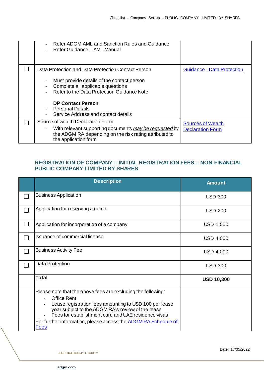| Refer ADGM AML and Sanction Rules and Guidance<br>Refer Guidance - AML Manual                                                                                                                                                                                                     |                                                     |
|-----------------------------------------------------------------------------------------------------------------------------------------------------------------------------------------------------------------------------------------------------------------------------------|-----------------------------------------------------|
| Data Protection and Data Protection Contact Person<br>Must provide details of the contact person<br>Complete all applicable questions<br>Refer to the Data Protection Guidance Note<br><b>DP Contact Person</b><br><b>Personal Details</b><br>Service Address and contact details | <b>Guidance - Data Protection</b>                   |
| Source of wealth Declaration Form<br>With relevant supporting documents may be requested by<br>the ADGM RA depending on the risk rating attributed to<br>the application form                                                                                                     | <b>Sources of Wealth</b><br><b>Declaration Form</b> |

### **REGISTRATION OF COMPANY – INITIAL REGISTRATION FEES – NON-FINANCIAL PUBLIC COMPANY LIMITED BY SHARES**

| <b>Description</b>                                                                                                                                                                                                                                                                                                                               | <b>Amount</b>     |
|--------------------------------------------------------------------------------------------------------------------------------------------------------------------------------------------------------------------------------------------------------------------------------------------------------------------------------------------------|-------------------|
| <b>Business Application</b>                                                                                                                                                                                                                                                                                                                      | <b>USD 300</b>    |
| Application for reserving a name                                                                                                                                                                                                                                                                                                                 | <b>USD 200</b>    |
| Application for incorporation of a company                                                                                                                                                                                                                                                                                                       | <b>USD 1,500</b>  |
| <b>Issuance of commercial license</b>                                                                                                                                                                                                                                                                                                            | <b>USD 4,000</b>  |
| <b>Business Activity Fee</b>                                                                                                                                                                                                                                                                                                                     | <b>USD 4,000</b>  |
| Data Protection                                                                                                                                                                                                                                                                                                                                  | <b>USD 300</b>    |
| <b>Total</b>                                                                                                                                                                                                                                                                                                                                     | <b>USD 10,300</b> |
| Please note that the above fees are excluding the following:<br><b>Office Rent</b><br>Lease registration fees amounting to USD 100 per lease<br>year subject to the ADGM RA's review of the lease<br>Fees for establishment card and UAE residence visas<br>For further information, please access the <b>ADGM RA Schedule of</b><br><b>Fees</b> |                   |